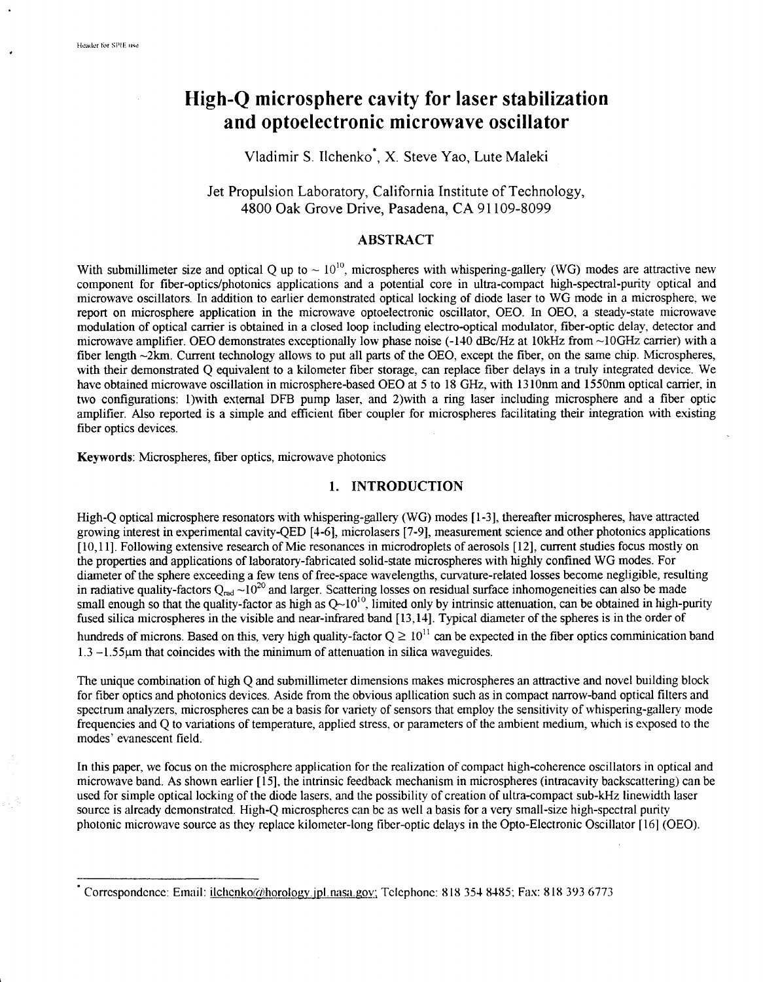# **High-Q microsphere cavity for laser stabilization and optoelectronic microwave oscillator**

# Vladimir S. Ilchenko\*, X. Steve Yao, Lute Maleki

Jet Propulsion Laboratory, California Institute of Technology, 4800 Oak Grove Drive, Pasadena, CA 91 109-8099

### **ABSTRACT**

With submillimeter size and optical Q up to  $\sim 10^{10}$ , microspheres with whispering-gallery (WG) modes are attractive new component for fiber-optics/photonics applications and a potential core in ultra-compact high-spectral-purity optical and microwave oscillators. In addition to earlier demonstrated optical locking of diode laser to WG mode in a microsphere. we report on microsphere application in the microwave optoelectronic oscillator, OEO. In OEO, a steady-state microwave modulation of optical carrier is obtained in a closed loop including electro-optical modulator, fiber-optic delay, detector and microwave amplifier. OEO demonstrates exceptionally low phase noise (-140 dBc/Hz at 10kHz from ~10GHz carrier) with a fiber length ~2km. Current technology allows to put all parts of the OEO, except the fiber, on the same chip. Microspheres, with their demonstrated Q equivalent to a kilometer fiber storage, can replace fiber delays in a truly integrated device. We have obtained microwave oscillation in microsphere-based OEO at **5** to **18** GHz, with 1310nm and 1550nm optical carrier, in two configurations: 1)with external DFB pump laser, and 2)with a ring laser including microsphere and a fiber optic amplifier. Also reported is a simple and efficient fiber coupler for microspheres facilitating their integration with existing fiber optics devices.

**Keywords:** Microspheres, fiber optics, microwave photonics

## **1. INTRODUCTION**

High-Q optical microsphere resonators with whspering-gallery (WG) modes [ 1-31, thereafter microspheres, have attracted growing interest in experimental cavity-QED [4-61, microlasers [7-91, measurement science and other photonics applications [ 10,111. Following extensive research of Mie resonances in microdroplets of aerosols [12], current studles focus mostly on the properties and applications of laboratory-fabricated solid-state microspheres with highly confined WG modes. For diameter of the sphere exceeding a few tens of free-space wavelengths, curvature-related losses become negligible, resulting in radiative quality-factors  $Q_{rad} \sim 10^{20}$  and larger. Scattering losses on residual surface inhomogeneities can also be made small enough so that the quality-factor as high as  $Q-10^{10}$ , limited only by intrinsic attenuation, can be obtained in high-purity fused silica microspheres in the visible and near-infrared band [ 13,141. Typical diameter of the spheres is in the order of hundreds of microns. Based on this, very high quality-factor  $Q \ge 10^{11}$  can be expected in the fiber optics comminication band  $1.3 - 1.55$  km that coincides with the minimum of attenuation in silica waveguides.

The unique combination of **hgh** Q and submillimeter dimensions makes microspheres an attractive and novel building block for fiber optics and photonics devices. Aside from the obvious apllication such as in compact narrow-band optical filters and spectrum analyzers, microspheres can be a basis for variety of sensors that employ the sensitivity of whispering-gallery mode frequencies and Q to variations of temperature, applied stress, or parameters of the ambient medium, which is exposed to the modes' evanescent field.

In this paper, we focus on the microsphere application for the realization of compact high-coherence oscillators in optical and microwave band. As shown earlier [15], the intrinsic feedback mechanism in microspheres (intracavity backscattering) can be used for simple optical locking of the diode lasers. and the possibility of creation of ultra-compact sub-kHz linewidth laser source is already demonstrated. High-Q microspheres can be as well a basis for a very small-size high-spectral purity photonic microwave source as thcy replace kilometer-long fiber-optic delays in the Opto-Electronic Oscillator [ 161 (OEO).

<sup>\*</sup> Correspondence: Email: ilchcnkoi~~),horolo~y.ipl.nasa.~ov; Tclcphonc: *8* **18 354 8485;** Fax: *8* **18** 393 6773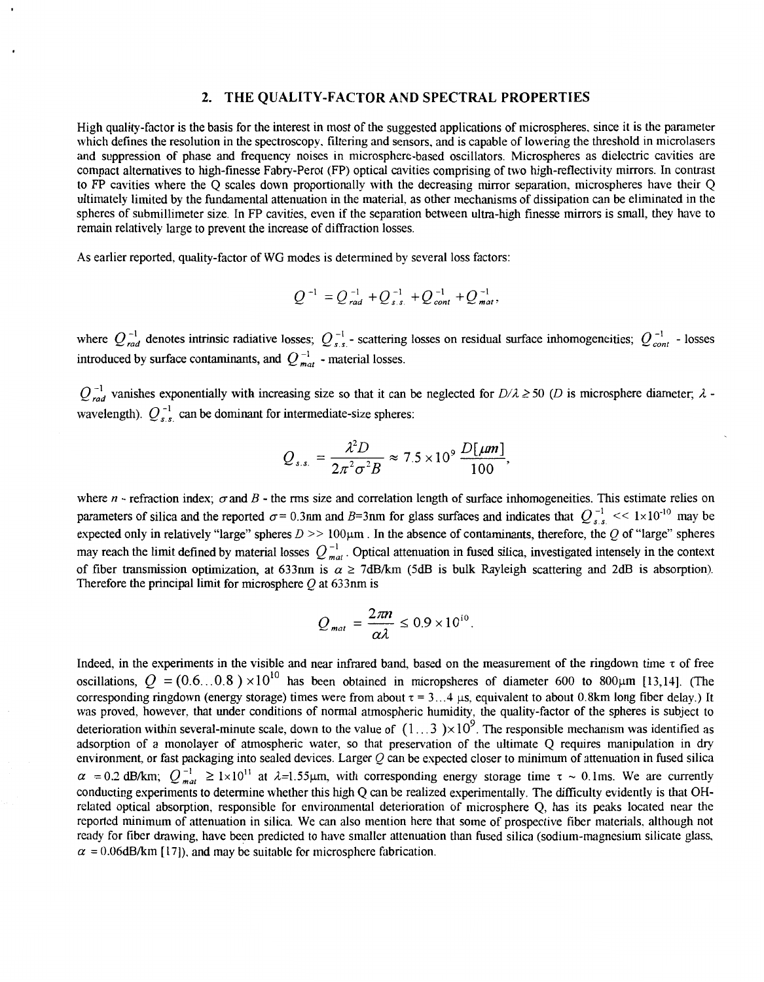#### **2. THE QUALITY-FACTOR AND SPECTRAL PROPERTIES**

High quality-factor is the basis for the interest in most of the suggested applications of microspheres. since it is the panmeter which defines the resolution in the spectroscopy. filtering and sensors, and is capable of lowering the threshold in microlasers and suppression of phase and frequency noises in microsphere-based oscillators. Microspheres as dielectric cavities are compact alternatives to high-finesse Fabry-Perot (FP) optical cavities comprising of two high-reflectivity mirrors. In contrast to FP cavities where the Q scales down proportionally with the decreasing mirror separation. microspheres have their Q ultimately limited by the findamental attenuation in the material. as other mechanisms of dissipation can be eliminated in the spheres of submillimeter size. In FP cavities, even if the separation between ultra-lugh finesse mirrors is small, they have to remain relatively large to prevent the increase of diffraction losses.

**As** earlier reported, quality-factor of WG modes is determined by several loss factors:

$$
Q^{-1} = Q_{rad}^{-1} + Q_{s.s.}^{-1} + Q_{cont}^{-1} + Q_{mat}^{-1}
$$

where  $Q_{rad}^{-1}$  denotes intrinsic radiative losses;  $Q_{s.s.}^{-1}$  - scattering losses on residual surface inhomogeneities;  $Q_{cont}^{-1}$  - losses introduced by surface contaminants, and  $Q_{mat}^{-1}$  - material losses.

 $Q_{rad}^{-1}$  vanishes exponentially with increasing size so that it can be neglected for  $D/\lambda \ge 50$  (*D* is microsphere diameter;  $\lambda$  -wavelength).  $Q_{s,s}^{-1}$  can be dominant for intermediate-size spheres:

$$
Q_{s.s.}=\frac{\lambda^2 D}{2\pi^2 \sigma^2 B}\approx 7.5\times10^9\,\frac{D[\mu m]}{100},
$$

where  $n$  - refraction index;  $\sigma$  and  $B$  - the rms size and correlation length of surface inhomogeneities. This estimate relies on parameters of silica and the reported  $\sigma$  = 0.3nm and *B*=3nm for glass surfaces and indicates that  $Q_{s,s}^{-1}$  <<  $1 \times 10^{-10}$  may be expected only in relatively "large" spheres  $D \ge 100 \mu m$ . In the absence of contaminants, therefore, the Q of "large" spheres may reach the limit defined by material losses  $Q_{mat}^{-1}$ . Optical attenuation in fused silica, investigated intensely in the context of fiber transmission optimization, at 633nm is  $\alpha \ge 7d$ B/km (5dB is bulk Rayleigh scattering and 2dB is absorption). Therefore the principal limit for microsphere  $Q$  at 633nm is

$$
Q_{\textit{mat}} = \frac{2\pi n}{\alpha\lambda} \leq 0.9 \times 10^{10}.
$$

Indeed, in the experiments in the visible and near infrared band, based on the measurement of the ringdown time  $\tau$  of free oscillations,  $Q = (0.6...0.8) \times 10^{10}$  has been obtained in micropsheres of diameter 600 to 800 $\mu$ m [13,14]. (The corresponding ringdown (energy storage) times were from about  $\tau = 3...4$  µs, equivalent to about 0.8km long fiber delay.) It was proved, however, that under conditions of normal atmospheric humidity, the quality-factor of the spheres is subject to deterioration within several-minute scale, down to the value of  $(1...3) \times 10^9$ . The responsible mechanism was identified as adsorption of a monolayer of atmospheric water, so that preservation of the ultimate Q requires manipulation in *dry*  environment, or fast packaging into sealed devices. Larger Q can be expected closer to minimum of attenuation in fused silica  $\alpha$  = 0.2 dB/km;  $Q_{mat}^{-1} \ge 1 \times 10^{11}$  at  $\lambda$ =1.55 $\mu$ m, with corresponding energy storage time  $\tau \sim 0.1$ ms. We are currently conducting experiments to determine whether this high Q can be realized experimentally. The difficulty evidently is that OHrelated optical absorption, responsible for environmental deterioration of microsphere *Q,* has its peaks located near the reported minimum of attenuation in silica. We can also mention here that some of prospective fiber materials, although not ready for fiber drawing, have been predicted to have smaller attenuation than fused silica (sodium-magnesium silicate glass,  $\alpha$  = 0.06dB/km [17]), and may be suitable for microsphere fabrication.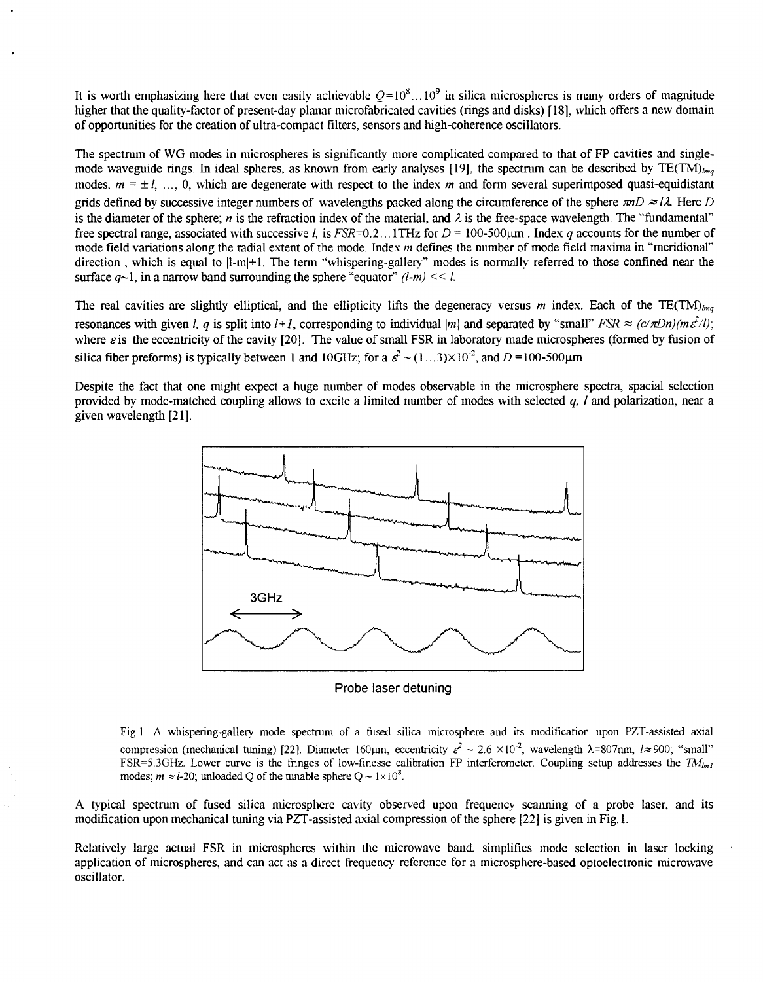It is worth emphasizing here that even easily achievable  $Q=10^8...10^9$  in silica microspheres is many orders of magnitude higher that the quality-factor of present-day planar microfabricated cavities (rings and disks) [18], which offers a new domain of opportunities for the creation of ultra-compact filters. sensors and high-coherence oscillators.

The spectrum of WG modes in microspheres is significantly more complicated compared to that of FP cavities and singlemode waveguide rings. In ideal spheres, as known from early analyses [19], the spectrum can be described by  $TE(TM)_{lm}$ modes.  $m = \pm 1$ , ..., 0, which are degenerate with respect to the index *m* and form several superimposed quasi-equidistant grids defined by successive integer numbers of wavelengths packed along the circumference of the sphere  $mD \approx l\lambda$ . Here *D* is the diameter of the sphere; *n* is the refraction index of the material, and  $\lambda$  is the free-space wavelength. The "fundamental" free spectral range, associated with successive *l.* is  $FSR=0.2$ . **1THz for**  $D = 100-500 \text{µm}$  . Index *q* accounts for the number of mode field variations along the radial extent of the mode. Index *m* defines the number of mode field maxima in "meridional" direction, which is equal to |l-m|+1. The term "whispering-gallery" modes is normally referred to those confined near the surface  $a\sim 1$ , in a narrow band surrounding the sphere "equator"  $(l-m) \ll l$ .

The real cavities are slightly elliptical, and the ellipticity lifts the degeneracy versus  $m$  index. Each of the TE(TM)<sub>lma</sub> resonances with given *l, q* is split into  $l+1$ , corresponding to individual  $|m|$  and separated by "small" *FSR*  $\approx$  ( $c/\pi Dn/(m\epsilon^2/l)$ ; where  $\varepsilon$  is the eccentricity of the cavity [20]. The value of small FSR in laboratory made microspheres (formed by fusion of silica fiber preforms) is typically between 1 and 10GHz; for a  $\epsilon^2 \sim (1...3) \times 10^{-2}$ , and  $D = 100-500 \mu m$ 

Despite the fact that one might expect a huge number of modes observable in the microsphere spectra, spacial selection provided by mode-matched coupling allows to excite a limited number of modes with selected *q, f* and polarization, near a given wavelength *[2* 11.



Probe laser detuning

Fig. **1. A** whispering-gallery mode spectrum of a fused silica microsphere and its modification upon PZT-assisted axial compression (mechanical tuning) [22]. Diameter 160 $\mu$ m, eccentricity  $\varepsilon^2 \sim 2.6 \times 10^{-2}$ , wavelength  $\lambda$ =807nm,  $l \approx 900$ ; "small"  $FSR = 5.3GHz$ . Lower curve is the fringes of low-finesse calibration FP interferometer. Coupling setup addresses the  $TM_{lm}$ modes;  $m \approx l-20$ ; unloaded Q of the tunable sphere  $Q \sim 1 \times 10^8$ .

**A** typical spectrum of fused silica microsphere cavity observed upon frequency scanning of **a** probe laser, and its modification upon mechanical tuning via PZT-assisted axial compression of the sphere *[22]* is given in Fig. **1.** 

Relatively large actual FSR in microspheres within the microwave band. simplifies mode selection in laser locking application of microspheres, and can act as a direct frequency reference for a microsphere-based optoelectronic microwave oscillator.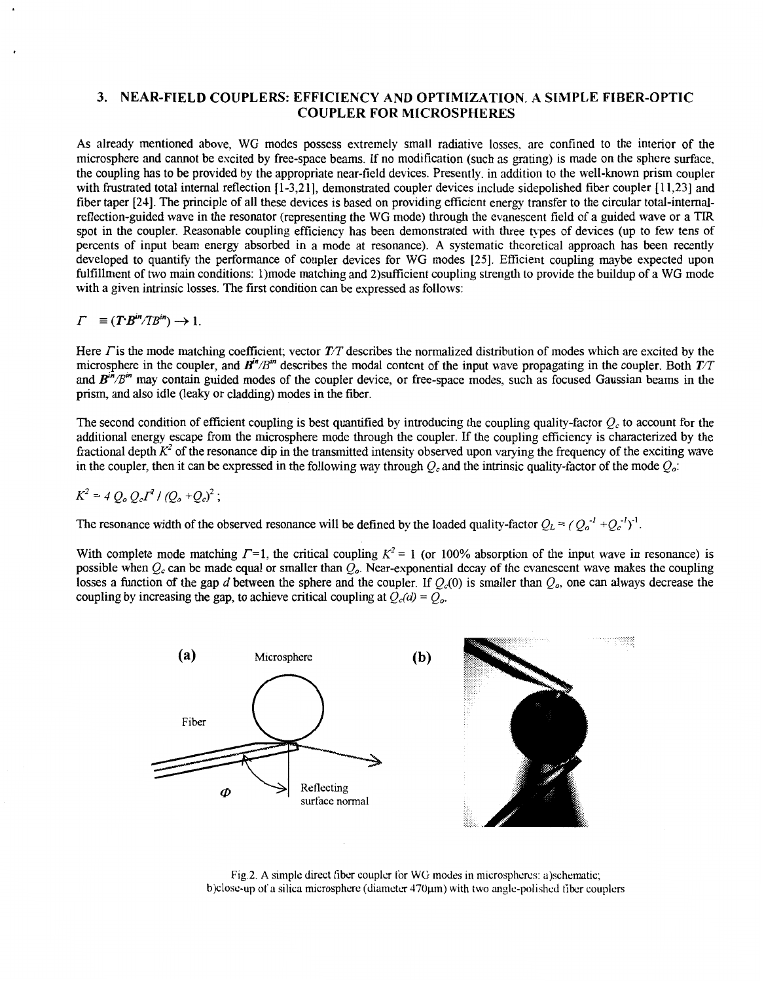### **3. NEAR-FIELD COUPLERS: EFFICIENCY AND OPTIMIZATION. A SIMPLE FIBER-OPTIC COUPLER FOR MICROSPHERES**

**As** already mentioned above. WG modes possess extremely small radiative losses. are confined to the interior of the microsphere and cannot be excited by free-space beams. If no modification (such as grating) is made on the sphere surface. the coupling has to be provided by the appropriate near-field devices. Presently, in addition to the well-known prism coupler with frustrated total internal reflection [1-3,21], demonstrated coupler devices include sidepolished fiber coupler [11,23] and fiber taper [24]. The principle of all these devices is based on providing efficient energy transfer to the circular total-intemalreflection-guided wave in the resonator (representing the WG mode) through the evanescent field of a guided wave or a TIR spot in the coupler. Reasonable coupling efficiency has been demonstrated with three **hpes** of devices (up to few tens of percents of input beam energy absorbed in a mode at resonance). **A** systematic theoretical approach has been recently developed to quantify the performance of coupler devices for WG modes [25]. Efficient coupling maybe expected upon fulfillment of two main conditions: 1)mode matching and 2)sufficient coupling strength to provide the buildup of a WG mode with a given intrinsic losses. The first condition can be expressed as follows:

$$
\Gamma = (T^{\cdot}B^{in}/TB^{in}) \rightarrow 1.
$$

Here  $\Gamma$  is the mode matching coefficient; vector  $\mathcal{T}/\mathcal{T}$  describes the normalized distribution of modes which are excited by the microsphere in the coupler, and  $B^{in}/B^{in}$  describes the modal content of the input wave propagating in the coupler. Both  $TT$ and *B"'/B'"* may contain guided modes of the coupler device, or free-space modes, such as focused Gaussian beams in the prism, and also idle (leaky or cladding) modes in the fiber.

The second condition of efficient coupling is best quantified by introducing the coupling quality-factor  $Q_c$  to account for the additional energy escape from the microsphere mode through the coupler. If the coupling efficiency is characterized by the fractional depth  $K^2$  of the resonance dip in the transmitted intensity observed upon varying the frequency of the exciting wave in the coupler, then it can be expressed in the following way through  $Q_c$  and the intrinsic quality-factor of the mode  $Q_c$ .

$$
K^2 = 4 Q_o Q_o I^2 / (Q_o + Q_o)^2 ;
$$

The resonance width of the observed resonance will be defined by the loaded quality-factor  $Q_L = (Q_o^{-1} + Q_c^{-1})^{-1}$ .

With complete mode matching  $\Gamma$ =1, the critical coupling  $K^2$  = 1 (or 100% absorption of the input wave in resonance) is possible when  $Q_c$  can be made equal or smaller than  $Q_c$ . Near-exponential decay of the evanescent wave makes the coupling losses a function of the gap *d* between the sphere and the coupler. If  $Q_c(0)$  is smaller than  $Q_o$ , one can always decrease the coupling by increasing the gap, to achieve critical coupling at  $Q_c(d) = Q_o$ .



Fig.2. A simple direct fiber coupler for WG modes in microspheres: a)schematic; b)close-up of a silica microsphere (diameter  $470 \mu m$ ) with two angle-polished fiber couplers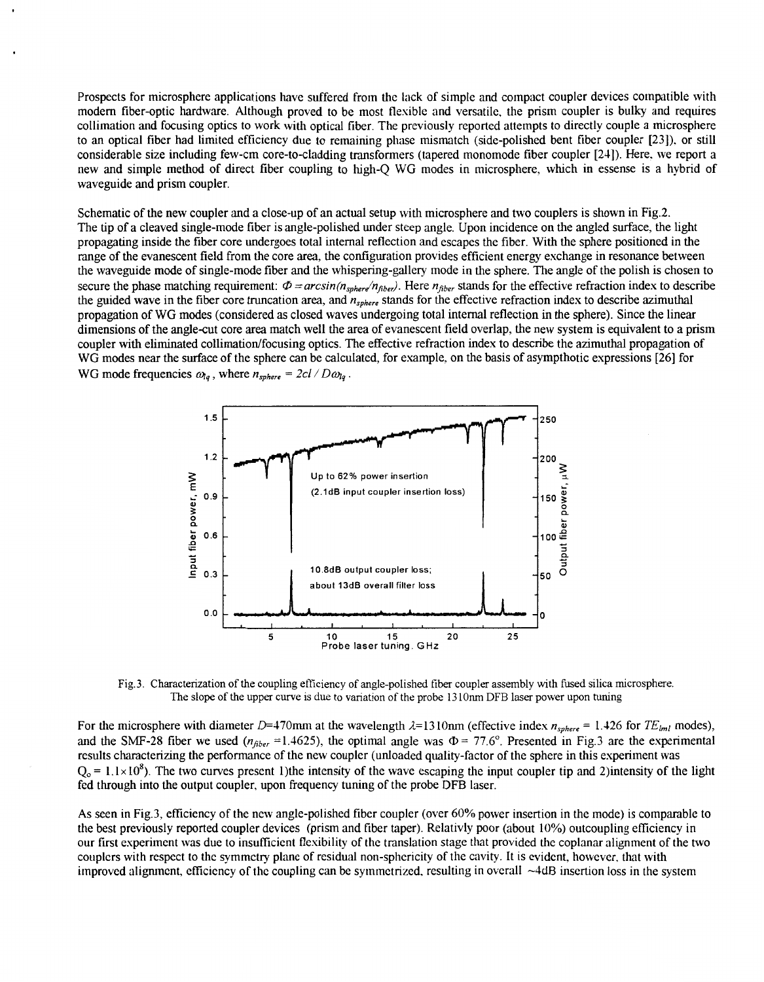Prospects for microsphere applications have suffered from the lack of simple and compact coupler devices compatible with modem fiber-optic hardware. Although proved to be most flexible and versatile, the prism coupler is bulky and requires collimation and focusing optics to work with optical fiber. The previously reported attetnpts to directly couple a microsphere to an optical fiber had limited efficiency due to remaining phase mismatch (side-polished bent fiber coupler [23]). or still considerable size including few-cm core-to-cladding transformers (tapered monomode fiber coupler [24]). Here. we report a new and simple method of direct fiber coupling to high-Q WG modes in microsphere, which in essense is a hybrid of waveguide and prism coupler.

Schematic of the new coupler and a close-up of an actual setup with microsphere and two couplers is shown in Fig.2. The tip of a cleaved single-mode fiber is angle-polished under steep angle. Upon incidence on the angled surface, the light propagating inside the fiber core undergoes total internal reflection and escapes the fiber. With the sphere positioned in the range of the evanescent field from the core area, the configuration provides efficient energy exchange in resonance between the waveguide mode of single-mode fiber and the whispering-gallery mode in the sphere. The angle of the polish is chosen to secure the phase matching requirement:  $\Phi = arcsin(n_{sphere}/n_{fiber})$ . Here  $n_{fiber}$  stands for the effective refraction index to describe the guided wave in the fiber core truncation area, and *nsphere* stands for the effective refraction index to describe azimuthal propagation of WG modes (considered as closed waves undergoing total internal reflection in the sphere). Since the linear dimensions of the angle-cut core area match well the area of evanescent field overlap, the new system is equivalent to a prism coupler with eliminated collimation/focusing optics. The effective refraction index to describe the azimuthal propagation of WG modes near the surface of the sphere can be calculated, for example, on the basis of asympthotic expressions [26] for WG mode frequencies  $\omega_{lq}$ , where  $n_{sphere} = 2cl/D\omega_{lq}$ . ications have suffered from the lack of simple and compact coupler devices compatile.<br>Although proved to be most flexible and versatile, the prism coupler is bulky and a<br>S to work with optical fiber. The previously report lap, the new system to describe the same of asympthent  $\overline{ }$  250



Fig.3. Characterization of the coupling efficiency of angle-polished fiber coupler assembly with fused silica microsphere. The slope of the upper curve is due to variation of the probe **13** 1 Om DFB laser power upon tuning

For the microsphere with diameter D=470mm at the wavelength  $\lambda = 1310$ nm (effective index  $n_{sphere} = 1.426$  for  $TE_{lml}$  modes), and the SMF-28 fiber we used  $(n_{fiber} = 1.4625)$ , the optimal angle was  $\Phi = 77.6^{\circ}$ . Presented in Fig.3 are the experimental results characterizing the performance of the new coupler (unloaded quality-factor of the sphere in this experiment was  $Q_0 = 1.1 \times 10^8$ ). The two curves present 1)the intensity of the wave escaping the input coupler tip and 2)intensity of the light fed through into the output coupler, upon frequency tuning of the probe DFB laser.

**As** seen in Fig.3, efficiency of the new angle-polished fiber coupler (over 60% power insertion in the mode) is comparable to the best previously reported coupler devices (prism and fiber taper). Relativly poor (about 10%) outcoupling efficiency in our first experiment **was** due to insufficient flexibility of the translation stage that provided the coplanar alignment of the two couplers with respect to the symmetry plane of residual non-sphericity of the cavity. It is evident, however, that with improved alignmcnt, efficicncy of thc coupling can be symmetrized. resulting **in** overall -4dB insertion loss in the system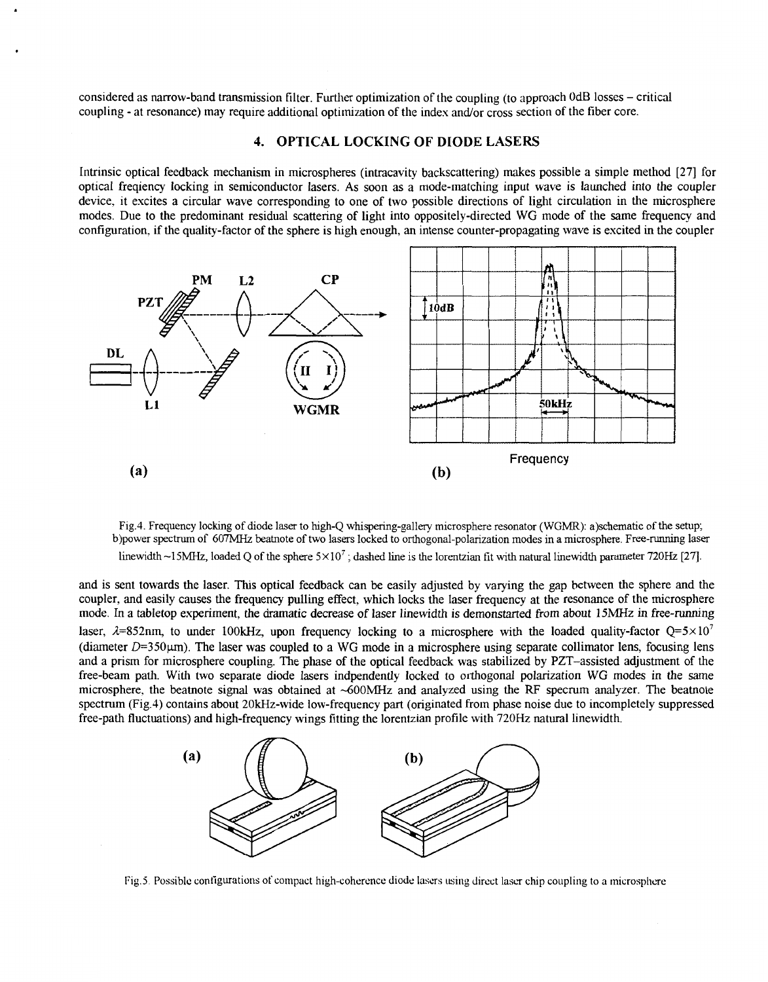considered as narrow-band transmission filter. Further optimization of the coupling (to approach OdB losses - critical coupling - at resonance) may require additional optimization of the index and/or cross section of the fiber core.

#### **4. OPTICAL LOCKING OF DIODE LASERS**

Intrinsic optical feedback mechanism in microspheres (intracavity backscattering) makes possible a simple method [27] for optical freqiency locking in semiconductor lasers. **As** soon **as** a mode-matching input wave is launched into the coupler device, it excites a circular wave corresponding to one of two possible directions of light circulation in the microsphere modes. Due to the predominant residual scattering of light into oppositely-directed WG mode of the same frequency and configuration, if the quality-factor of the sphere is high enough, an intense counter-propagating wave is excited in the coupler



Fig.4. Frequency locking of diode laser to high-Q whispering-gallery microsphere resonator (WGMR): a)schematic of the setup; b)power spectrum of *607MHz* beatnote of two lasers locked to orthogonal-polarization modes in a microsphere. Free-running laser linewidth -ISMHZ, loaded Q of the sphere 5x10' ; dashed line is the lorentzian fit with natural linewidth parameter *72OHz* [27].

and is sent towards the laser. This optical feedback can be easily adjusted by varying the gap between the sphere and the coupler, and easily causes the frequency pulling effect, which locks the laser frequency at the resonance of the microsphere mode. In a tabletop experiment, the dramatic decrease of laser linewidth is demonstarted from about 15MHz in free-running laser,  $\lambda$ =852nm, to under 100kHz, upon frequency locking to a microsphere with the loaded quality-factor Q=5×10<sup>7</sup> (diameter  $D=350\mu m$ ). The laser was coupled to a WG mode in a microsphere using separate collimator lens, focusing lens and a prism for microsphere coupling. The phase of the optical feedback was stabilized by PZT-assisted adjustment of the free-beam path. With two separate diode lasers indpendently locked to orthogonal polarization WG modes in the same microsphere, the beatnote signal was obtained at -6OOMHz and analyzed using the RF specrum analyzer. The beatnote spectrum (Fig.4) contains about 20kHz-wide low-frequency part (originated from phase noise due to incompletely suppressed free-path fluctuations) and high-frequency wings fitting the lorentzian profile with 720Hz natural linewidth.



Fig.5. Possible configurations of compact high-coherence diode lasers using direct laser chip coupling to a microsphere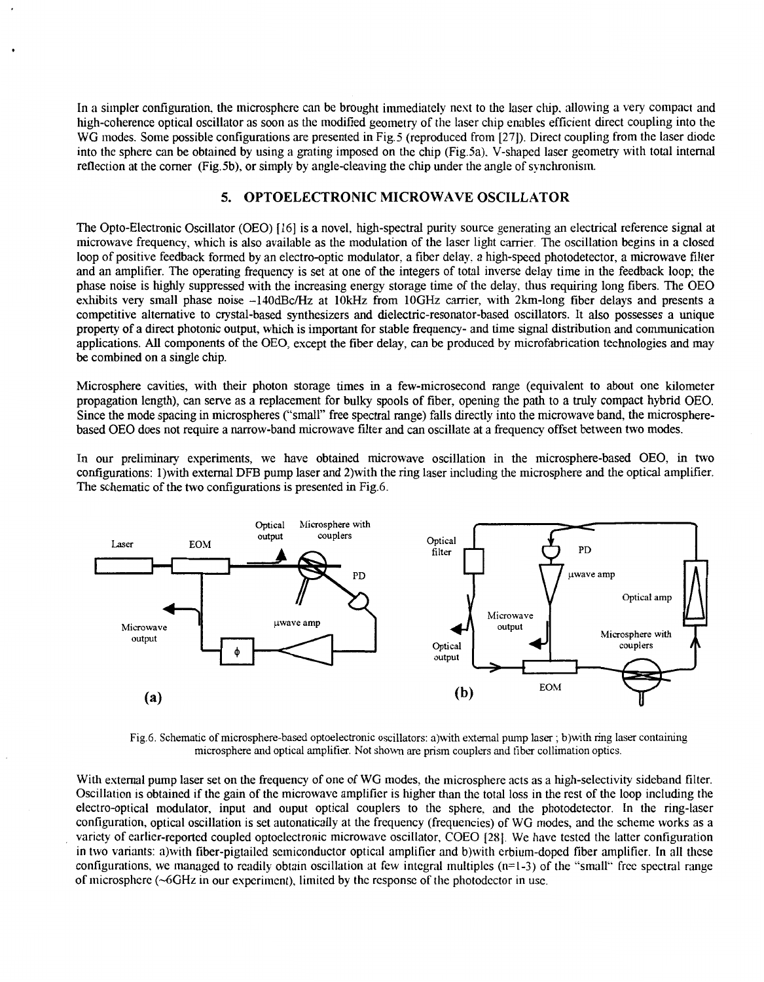In a simpler configuration, the microsphere can be brought immediately next to the laser chip, allowing a very compact and high-coherence optical oscillator as soon as the modified geometry of the laser chip enables efficient direct coupling into the WG modes. Some possible configurations are presented in Fig.5 (reproduced from [27]). Direct coupling from the laser diode into the sphere can be obtained by using a grating imposed on the chip (Fig.5a). V-shaped laser geometry with total internal reflection at the corner (Fig.5b), or simply by angle-cleaving the chip under the angle of synchronism.

.

### **5. OPTOELECTRONIC MICROWAVE OSCILLATOR**

The Opto-Electronic Oscillator (OEO) [ 161 is a novel, high-spectral purity source generating an electrical reference signal at microwave frequency, which is also available as the modulation of the laser light carrier. The oscillation begins in a closed loop of positive feedback formed by an electro-optic modulator, a fiber delay. a high-speed photodetector, a microwave filter and an amplifier. The operating frequency is set at one of the integers of total inverse delay time in the feedback loop; the phase noise is highly suppressed with the increasing energy storage time of the delay, thus requiring long fibers. The OEO exhibits very small phase noise -140dBc/Hz at 10kHz from 10GHz carrier, with 2km-long fiber delays and presents a competitive alternative to crystal-based synthesizers and dielectric-resonator-based oscillators. It also possesses a unique property of a direct photonic output, which is important for stable frequency- and time signal distribution and communication applications. **All** components of the OEO, except the fiber delay, can be produced by microfabrication technologies and may be combined on a single chip.

Microsphere cavities, with their photon storage times in a few-microsecond range (equivalent to about one kilometer propagation length), can serve as a replacement for bulky spools of fiber, opening the path to a truly compact hybrid OEO. Since the mode spacing in microspheres ("small" free spectral range) falls directly into the microwave band, the microspherebased OEO does not require a narrow-band microwave filter and can oscillate at a frequency offset between two modes.

In our preliminary experiments, we have obtained microwave oscillation in the microsphere-based OEO, in two configurations: 1)with external DFB pump laser and 2)with the ring laser including the microsphere and the optical amplifier. The schematic of the two confgurations is presented in Fig.6.



Fig.6. Schematic of microsphere-based optoelectronic oscillators: a)with external pump laser ; b)with ring **laser** containing microsphere and optical amplifier. Not shown are prism couplers and fiber collimation optics.

With external pump laser set on the frequency of one of WG modes, the microsphere acts as a high-selectivity sideband filter. Oscillation **is** obtained if the gain of the microwave amplifier is higher than the total loss in the rest of the loop includng the electro-optical modulator, input and ouput optical couplers to the sphere. and the photodetector. In the ring-laser configuration, optical oscillation is set autonatically at the frequency (frequencies) of WG modes, and the scheme works as a variety of earlier-reported coupled optoelectronic microwave oscillator. COEO [28]. We have tested the latter configuration in two variants: a)with fiber-pigtailed semiconductor optical amplifier and b)with erbium-doped fiber amplifier. In all these configurations. we managed to readily obtain oscillation at few intcgral multiples **(n=1-3)** of the "small" free spectral range of microsphcre (-6GHz in our experiment), limited by the rcsponsc of the photodcctor in **use.**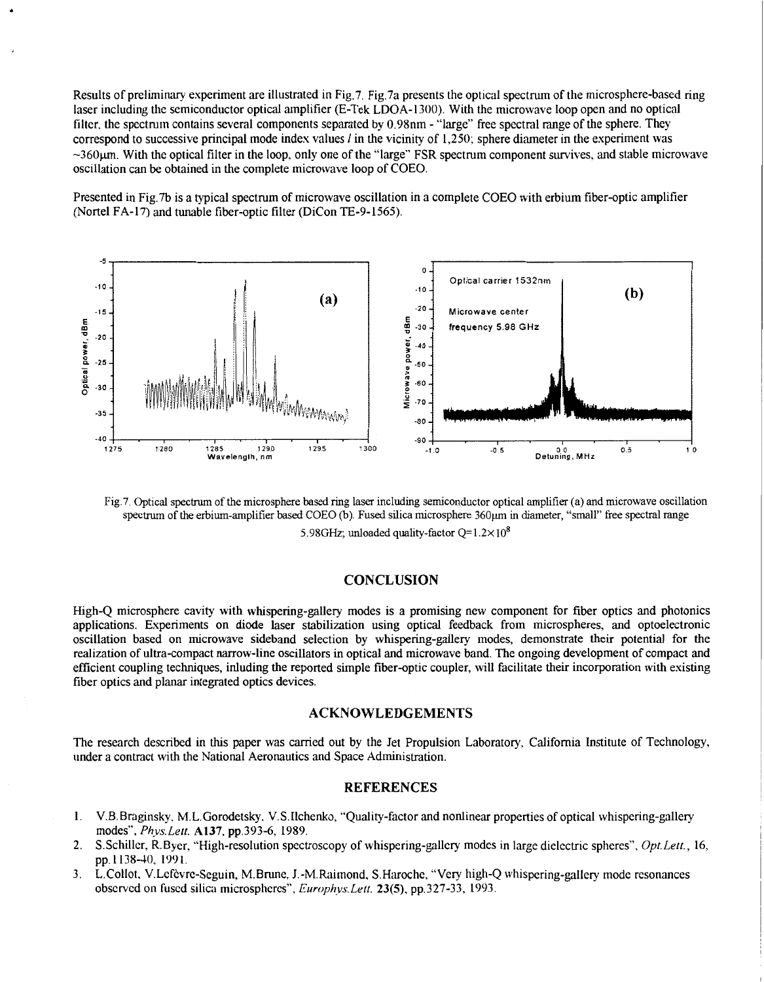Results of preliminruy experiment are illustrated in Fig.7. Fig.7a presents the optical spectrum of the microsphere-based ring laser including the semiconductor optical amplifier (E-Tek LDOA-1300). With the microwave loop open and no optical filter. the spectrum contains several components separated by 0.98nm - "large" free spectral range of the sphere. They correspond to successive principal mode index values *I* in the vicinity of 1,250: sphere diameter in the experiment was  $\sim$ 360 $\mu$ m. With the optical filter in the loop, only one of the "large" FSR spectrum component survives, and stable microwave oscillation can be obtained in the complete microwave loop of COEO.

Presented in Fig. 7b is a typical spectrum of microwave oscillation in a complete COEO with erbium fiber-optic amplifier (Nortel FA-17) and tunable fiber-optic filter (DiCon TE-9-1565).



Fig.7. Optical spectrum of the microsphere based ring laser including semiconductor optical amplifier (a) and microwave oscillation spectrum of the erbium-amplifier based COEO (b). Fused silica microsphere 360µm in diameter, "small" free spectral range

5.98GHz; unloaded quality-factor  $Q=1.2\times10^8$ 

#### **CONCLUSION**

High-Q microsphere cavity with whispering-gallery modes is a promising new component for fiber optics and photonics applications. Experiments on diode laser stabilization using optical feedback from microspheres, and optoelectronic oscillation based on microwave sideband selection by whispering-gallery modes, demonstrate their potential for the realization of ultra-compact narrow-line oscillators in optical and microwave band. The ongoing development of compact and efficient coupling techniques, inluding the reported simple fiber-optic coupler, will facilitate their incorporation with existing fiber optics and planar integrated optics devices.

#### **ACKNOWLEDGEMENTS**

The research described in this paper was carried out by the Jet Propulsion Laboratory, California Institute of Technology, under a contract with the National Aeronautics and Space Administration.

#### **REFERENCES**

- 1. V.B.Braginsky, M.L.Gorodetsky. V.S.Ilchenko, "Quality-factor and nonlinear properties of optical whispering-gallery modes", *Phys. Left.* **A137.** pp.393-6, 1989.
- 2. SSchiller, R.Byer. "High-resolution spectroscopy of whispering-gallery modes in large dielectric spheres", *Opt.Leff.,* 16, pp. 1138-40, **1991.**
- 3. L.Collot, V.Lefèvre-Seguin, M.Brune, J.-M.Raimond, S.Haroche, "Very high-Q whispering-gallery mode resonances observed on fused silica microspheres". *Europhys. Left.* **23(5),** pp.327-33, 1993.